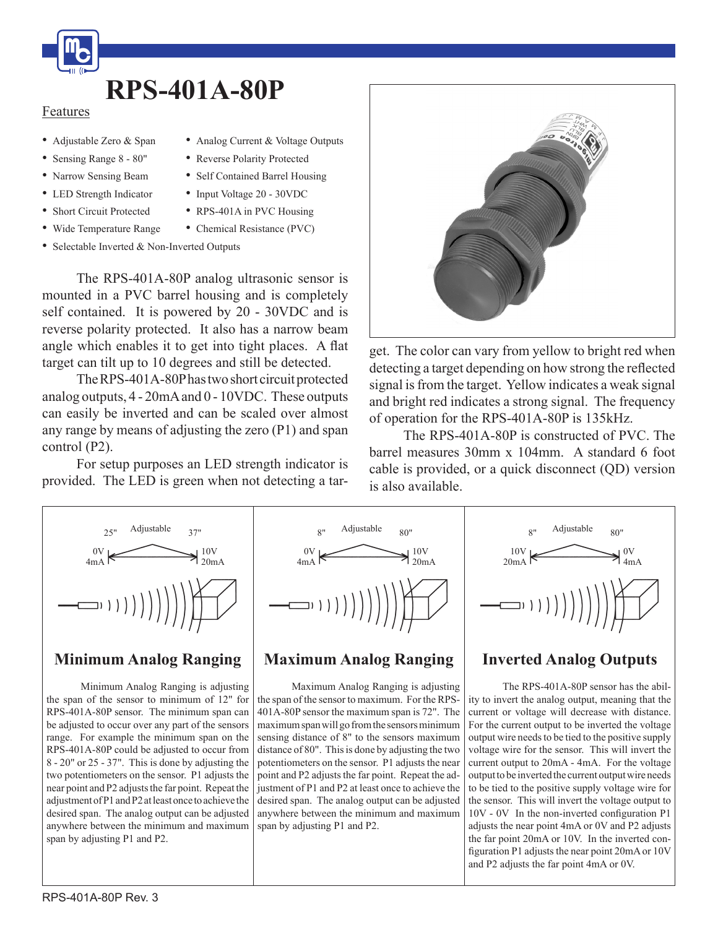

#### Features

- • Adjustable Zero & Span
- Sensing Range 8 80"
- Narrow Sensing Beam
- LED Strength Indicator
- Short Circuit Protected
- • Wide Temperature Range
- Selectable Inverted & Non-Inverted Outputs

 The RPS-401A-80P analog ultrasonic sensor is mounted in a PVC barrel housing and is completely self contained. It is powered by 20 - 30VDC and is reverse polarity protected. It also has a narrow beam angle which enables it to get into tight places. A flat target can tilt up to 10 degrees and still be detected.

• Analog Current & Voltage Outputs

• Reverse Polarity Protected • Self Contained Barrel Housing • Input Voltage 20 - 30VDC • RPS-401A in PVC Housing • Chemical Resistance (PVC)

The RPS-401A-80Phastwo short circuit protected analog outputs, 4 - 20mAand 0 - 10VDC. These outputs can easily be inverted and can be scaled over almost any range by means of adjusting the zero (P1) and span control (P2).

 For setup purposes an LED strength indicator is provided. The LED is green when not detecting a tar-



get. The color can vary from yellow to bright red when detecting a target depending on how strong the reflected signal is from the target. Yellow indicates a weak signal and bright red indicates a strong signal. The frequency of operation for the RPS-401A-80P is 135kHz.

 The RPS-401A-80P is constructed of PVC. The barrel measures 30mm x 104mm. A standard 6 foot cable is provided, or a quick disconnect (QD) version is also available.



#### **Minimum Analog Ranging**

 Minimum Analog Ranging is adjusting the span of the sensor to minimum of 12" for RPS-401A-80P sensor. The minimum span can be adjusted to occur over any part of the sensors range. For example the minimum span on the RPS-401A-80P could be adjusted to occur from 8 - 20" or 25 - 37". This is done by adjusting the two potentiometers on the sensor. P1 adjusts the near point and P2 adjusts the far point. Repeat the adjustmentofP1andP2atleastonce toachieve the desired span. The analog output can be adjusted anywhere between the minimum and maximum span by adjusting P1 and P2.



## **Maximum Analog Ranging**

 Maximum Analog Ranging is adjusting the span of the sensor to maximum. For the RPS-401A-80P sensor the maximum span is 72". The maximum span will go from the sensors minimum sensing distance of 8" to the sensors maximum distance of 80". This is done by adjusting the two potentiometers on the sensor. P1 adjusts the near point and P2 adjusts the far point. Repeat the adjustment of P1 and P2 at least once to achieve the desired span. The analog output can be adjusted anywhere between the minimum and maximum span by adjusting P1 and P2.



## **Inverted Analog Outputs**

The RPS-401A-80P sensor has the ability to invert the analog output, meaning that the current or voltage will decrease with distance. For the current output to be inverted the voltage output wire needsto be tied to the positive supply voltage wire for the sensor. This will invert the current output to 20mA - 4mA. For the voltage output to be inverted the current output wire needs to be tied to the positive supply voltage wire for the sensor. This will invert the voltage output to 10V - 0V In the non-inverted configuration P1 adjusts the near point 4mA or 0V and P2 adjusts the far point 20mA or 10V. In the inverted configuration P1 adjusts the near point 20mA or 10V and P2 adjusts the far point 4mA or 0V.